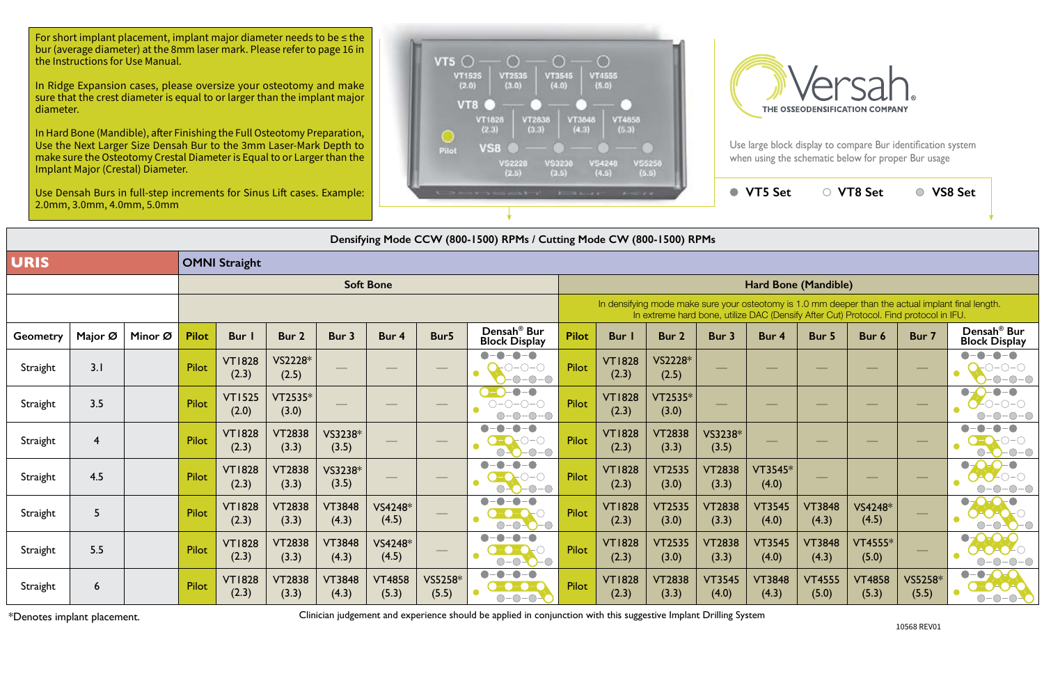Use large block display to compare Bur identification system



**Densifying Mode CCW (800-1500) RPMs / Cutting Mode CW (800-1500) RPMs**

| $1 - 11$                                                                                                                                                                                    |                        |                        | <b>VT5 Set</b>         | $\bigcirc$             | VT8 Set                |                  | VS8 Set                                         |  |  |  |  |  |  |
|---------------------------------------------------------------------------------------------------------------------------------------------------------------------------------------------|------------------------|------------------------|------------------------|------------------------|------------------------|------------------|-------------------------------------------------|--|--|--|--|--|--|
| le CW (800-1500) RPMs                                                                                                                                                                       |                        |                        |                        |                        |                        |                  |                                                 |  |  |  |  |  |  |
|                                                                                                                                                                                             |                        |                        |                        |                        |                        |                  |                                                 |  |  |  |  |  |  |
| Hard Bone (Mandible)                                                                                                                                                                        |                        |                        |                        |                        |                        |                  |                                                 |  |  |  |  |  |  |
| In densifying mode make sure your osteotomy is 1.0 mm deeper than the actual implant final length.<br>In extreme hard bone, utilize DAC (Densify After Cut) Protocol. Find protocol in IFU. |                        |                        |                        |                        |                        |                  |                                                 |  |  |  |  |  |  |
| Bur I                                                                                                                                                                                       | Bur 2                  | Bur 3                  | Bur 4                  | Bur 5                  | Bur 6                  | Bur 7            | Densah <sup>®</sup> Bur<br><b>Block Display</b> |  |  |  |  |  |  |
| <b>VT1828</b><br>(2.3)                                                                                                                                                                      | VS2228*<br>(2.5)       |                        |                        |                        |                        |                  |                                                 |  |  |  |  |  |  |
| <b>VT1828</b><br>(2.3)                                                                                                                                                                      | VT2535*<br>(3.0)       |                        |                        |                        |                        |                  |                                                 |  |  |  |  |  |  |
| <b>VT1828</b><br>(2.3)                                                                                                                                                                      | <b>VT2838</b><br>(3.3) | VS3238*<br>(3.5)       |                        |                        |                        |                  |                                                 |  |  |  |  |  |  |
| <b>VT1828</b><br>(2.3)                                                                                                                                                                      | <b>VT2535</b><br>(3.0) | <b>VT2838</b><br>(3.3) | VT3545*<br>(4.0)       |                        |                        |                  | $\bullet$                                       |  |  |  |  |  |  |
| <b>VT1828</b><br>(2.3)                                                                                                                                                                      | <b>VT2535</b><br>(3.0) | <b>VT2838</b><br>(3.3) | <b>VT3545</b><br>(4.0) | <b>VT3848</b><br>(4.3) | VS4248*<br>(4.5)       |                  |                                                 |  |  |  |  |  |  |
| <b>VT1828</b><br>(2.3)                                                                                                                                                                      | <b>VT2535</b><br>(3.0) | <b>VT2838</b><br>(3.3) | <b>VT3545</b><br>(4.0) | <b>VT3848</b><br>(4.3) | VT4555*<br>(5.0)       |                  |                                                 |  |  |  |  |  |  |
| <b>VT1828</b><br>(2.3)                                                                                                                                                                      | <b>VT2838</b><br>(3.3) | <b>VT3545</b><br>(4.0) | <b>VT3848</b><br>(4.3) | <b>VT4555</b><br>(5.0) | <b>VT4858</b><br>(5.3) | VS5258*<br>(5.5) |                                                 |  |  |  |  |  |  |

|                  | Densifying Mode CCW (800-1500) RPMs / Cutting Mode CW (800-1500) RPMs |         |              |                        |                        |                        |                        |                                                                                                                                                                                             |                                                                     |              |                        |                        |                        |                        |                        |                        |                  |                                                   |
|------------------|-----------------------------------------------------------------------|---------|--------------|------------------------|------------------------|------------------------|------------------------|---------------------------------------------------------------------------------------------------------------------------------------------------------------------------------------------|---------------------------------------------------------------------|--------------|------------------------|------------------------|------------------------|------------------------|------------------------|------------------------|------------------|---------------------------------------------------|
| <b>URIS</b>      |                                                                       |         |              | <b>OMNI Straight</b>   |                        |                        |                        |                                                                                                                                                                                             |                                                                     |              |                        |                        |                        |                        |                        |                        |                  |                                                   |
| <b>Soft Bone</b> |                                                                       |         |              |                        |                        |                        |                        | Hard Bone (Mandible)                                                                                                                                                                        |                                                                     |              |                        |                        |                        |                        |                        |                        |                  |                                                   |
|                  |                                                                       |         |              |                        |                        |                        |                        | In densifying mode make sure your osteotomy is 1.0 mm deeper than the actual implant final length.<br>In extreme hard bone, utilize DAC (Densify After Cut) Protocol. Find protocol in IFU. |                                                                     |              |                        |                        |                        |                        |                        |                        |                  |                                                   |
| <b>Geometry</b>  | Major Ø                                                               | Minor Ø | <b>Pilot</b> | Bur I                  | Bur 2                  | Bur 3                  | Bur 4                  | Bur5                                                                                                                                                                                        | Densah <sup>®</sup> Bur<br><b>Block Display</b>                     | <b>Pilot</b> | <b>Bur</b>             | Bur 2                  | Bur 3                  | Bur 4                  | Bur 5                  | Bur 6                  | Bur 7            | Densah <sup>®</sup> Bur<br><b>Block Display</b>   |
| Straight         | 3.1                                                                   |         | Pilot        | <b>VT1828</b><br>(2.3) | VS2228*<br>(2.5)       |                        |                        |                                                                                                                                                                                             | $\begin{array}{c} \bullet \\ \bullet \end{array}$<br>-0-0<br>O      | Pilot        | <b>VT1828</b><br>(2.3) | VS2228*<br>(2.5)       |                        |                        |                        |                        |                  |                                                   |
| Straight         | 3.5                                                                   |         | <b>Pilot</b> | <b>VT1525</b><br>(2.0) | $VT2535*$<br>(3.0)     |                        |                        |                                                                                                                                                                                             | $\bullet$<br>$O-O-O-O$<br>$\bigcirc$ -<br>$-\bigcirc$<br>$\bigcirc$ | <b>Pilot</b> | <b>VT1828</b><br>(2.3) | $VT2535*$<br>(3.0)     |                        |                        |                        |                        |                  |                                                   |
| Straight         | $\overline{4}$                                                        |         | Pilot        | <b>VT1828</b><br>(2.3) | <b>VT2838</b><br>(3.3) | VS3238*<br>(3.5)       |                        |                                                                                                                                                                                             |                                                                     | <b>Pilot</b> | <b>VT1828</b><br>(2.3) | <b>VT2838</b><br>(3.3) | VS3238*<br>(3.5)       |                        |                        |                        |                  | $\bullet$                                         |
| Straight         | 4.5                                                                   |         | Pilot        | <b>VT1828</b><br>(2.3) | <b>VT2838</b><br>(3.3) | VS3238*<br>(3.5)       |                        |                                                                                                                                                                                             | $\bigcirc$<br>$\bigcirc$                                            | <b>Pilot</b> | <b>VT1828</b><br>(2.3) | <b>VT2535</b><br>(3.0) | <b>VT2838</b><br>(3.3) | VT3545*<br>(4.0)       |                        |                        |                  | $\bullet$<br>$\bullet$                            |
| Straight         | 5                                                                     |         | Pilot        | <b>VT1828</b><br>(2.3) | <b>VT2838</b><br>(3.3) | <b>VT3848</b><br>(4.3) | VS4248*<br>(4.5)       |                                                                                                                                                                                             |                                                                     | <b>Pilot</b> | <b>VT1828</b><br>(2.3) | <b>VT2535</b><br>(3.0) | <b>VT2838</b><br>(3.3) | <b>VT3545</b><br>(4.0) | <b>VT3848</b><br>(4.3) | VS4248*<br>(4.5)       |                  | $\bullet$<br>$\bullet$                            |
| Straight         | 5.5                                                                   |         | Pilot        | <b>VT1828</b><br>(2.3) | <b>VT2838</b><br>(3.3) | <b>VT3848</b><br>(4.3) | $VS4248*$<br>(4.5)     |                                                                                                                                                                                             | $\blacksquare$<br>$\bullet$                                         | <b>Pilot</b> | <b>VT1828</b><br>(2.3) | <b>VT2535</b><br>(3.0) | <b>VT2838</b><br>(3.3) | <b>VT3545</b><br>(4.0) | <b>VT3848</b><br>(4.3) | VT4555*<br>(5.0)       |                  | $\bullet$<br>$\bigcirc - ($                       |
| Straight         | $6\overline{6}$                                                       |         | Pilot        | <b>VT1828</b><br>(2.3) | <b>VT2838</b><br>(3.3) | <b>VT3848</b><br>(4.3) | <b>VT4858</b><br>(5.3) | VS5258*<br>(5.5)                                                                                                                                                                            | $-\bullet$<br>-0-0<br>$\bullet$<br>$-\bigcirc$                      | Pilot        | <b>VT1828</b><br>(2.3) | <b>VT2838</b><br>(3.3) | <b>VT3545</b><br>(4.0) | <b>VT3848</b><br>(4.3) | <b>VT4555</b><br>(5.0) | <b>VT4858</b><br>(5.3) | VS5258*<br>(5.5) | $\bullet-\bullet$<br>200<br>$\bullet$<br>$O-O-O-$ |

For short implant placement, implant major diameter needs to be  $\leq$  the bur (average diameter) at the 8mm laser mark. Please refer to page 16 in the Instructions for Use Manual.

\*Denotes implant placement.

Clinician judgement and experience should be applied in conjunction with this suggestive Implant Drilling System

In Ridge Expansion cases, please oversize your osteotomy and make sure that the crest diameter is equal to or larger than the implant major diameter.

In Hard Bone (Mandible), after Finishing the Full Osteotomy Preparation, Use the Next Larger Size Densah Bur to the 3mm Laser-Mark Depth to make sure the Osteotomy Crestal Diameter is Equal to or Larger than the Implant Major (Crestal) Diameter.

Use Densah Burs in full-step increments for Sinus Lift cases. Example: 2.0mm, 3.0mm, 4.0mm, 5.0mm